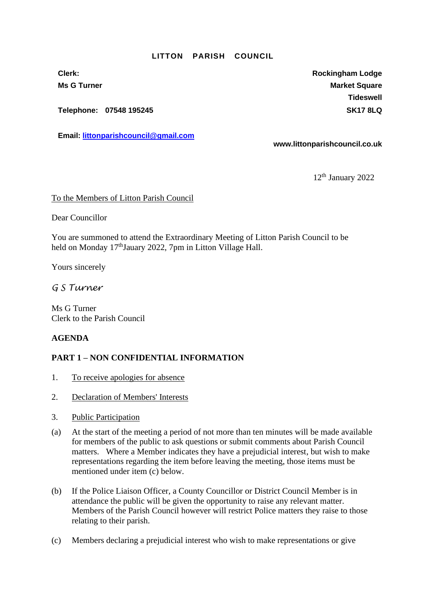#### **LITTON PARISH COUNCIL**

**Telephone: 07548 195245 SK17 8LQ**

**Email: [littonparishcouncil@gmail.com](mailto:littonparishcouncil@gmail.com)**

**Clerk: Rockingham Lodge Ms G Turner Market Square** Market Square Market Square **Tideswell**

**www.littonparishcouncil.co.uk**

12th January 2022

#### To the Members of Litton Parish Council

Dear Councillor

You are summoned to attend the Extraordinary Meeting of Litton Parish Council to be held on Monday 17<sup>th</sup>Jauary 2022, 7pm in Litton Village Hall.

Yours sincerely

# *G S Turner*

Ms G Turner Clerk to the Parish Council

### **AGENDA**

### **PART 1 – NON CONFIDENTIAL INFORMATION**

- 1. To receive apologies for absence
- 2. Declaration of Members' Interests
- 3. Public Participation
- (a) At the start of the meeting a period of not more than ten minutes will be made available for members of the public to ask questions or submit comments about Parish Council matters. Where a Member indicates they have a prejudicial interest, but wish to make representations regarding the item before leaving the meeting, those items must be mentioned under item (c) below.
- (b) If the Police Liaison Officer, a County Councillor or District Council Member is in attendance the public will be given the opportunity to raise any relevant matter. Members of the Parish Council however will restrict Police matters they raise to those relating to their parish.
- (c) Members declaring a prejudicial interest who wish to make representations or give